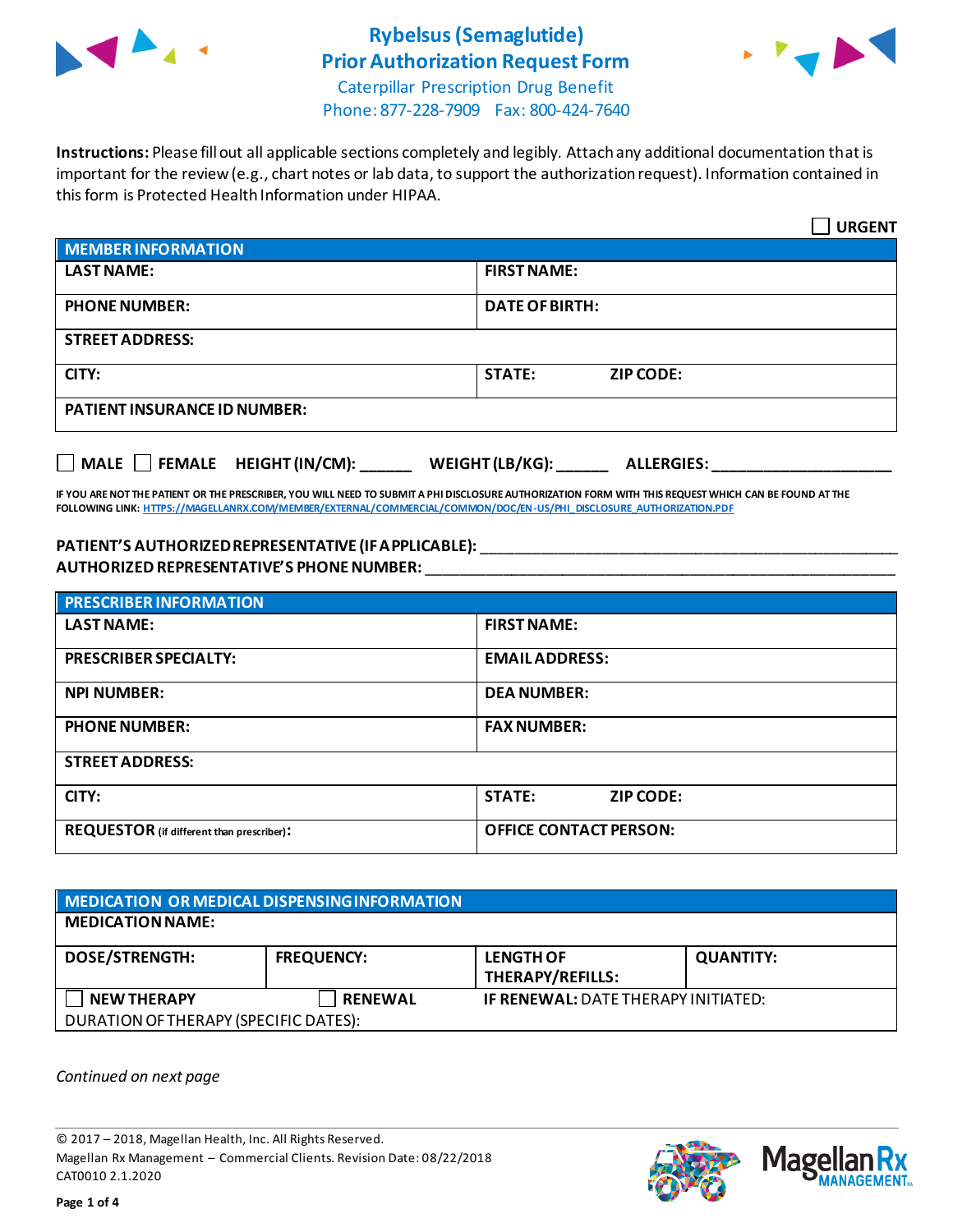

# **Rybelsus(Semaglutide) Prior Authorization Request Form**



Caterpillar Prescription Drug Benefit Phone: 877-228-7909 Fax: 800-424-7640

**Instructions:** Please fill out all applicable sections completely and legibly. Attach any additional documentation that is important for the review (e.g., chart notes or lab data, to support the authorization request). Information contained in this form is Protected Health Information under HIPAA.

|                                           | <b>URGENT</b>                        |  |
|-------------------------------------------|--------------------------------------|--|
| <b>MEMBER INFORMATION</b>                 |                                      |  |
| <b>LAST NAME:</b>                         | <b>FIRST NAME:</b>                   |  |
| <b>PHONE NUMBER:</b>                      | <b>DATE OF BIRTH:</b>                |  |
| <b>STREET ADDRESS:</b>                    |                                      |  |
| CITY:                                     | <b>STATE:</b><br><b>ZIP CODE:</b>    |  |
| <b>PATIENT INSURANCE ID NUMBER:</b>       |                                      |  |
| $\Box$ MALE $\Box$ FEMALE HEIGHT (IN/CM): | WEIGHT (LB/KG):<br><b>ALLERGIES:</b> |  |

**IF YOU ARE NOT THE PATIENT OR THE PRESCRIBER, YOU WILL NEED TO SUBMIT A PHI DISCLOSURE AUTHORIZATION FORM WITH THIS REQUEST WHICH CAN BE FOUND AT THE FOLLOWING LINK[: HTTPS://MAGELLANRX.COM/MEMBER/EXTERNAL/COMMERCIAL/COMMON/DOC/EN-US/PHI\\_DISCLOSURE\\_AUTHORIZATION.PDF](https://magellanrx.com/member/external/commercial/common/doc/en-us/PHI_Disclosure_Authorization.pdf)**

### **PATIENT'S AUTHORIZED REPRESENTATIVE (IF APPLICABLE):** \_\_\_\_\_\_\_\_\_\_\_\_\_\_\_\_\_\_\_\_\_\_\_\_\_\_\_\_\_\_\_\_\_\_\_\_\_\_\_\_\_\_\_\_\_\_\_\_\_ **AUTHORIZED REPRESENTATIVE'S PHONE NUMBER:** \_\_\_\_\_\_\_\_\_\_\_\_\_\_\_\_\_\_\_\_\_\_\_\_\_\_\_\_\_\_\_\_\_\_\_\_\_\_\_\_\_\_\_\_\_\_\_\_\_\_\_\_\_\_\_

| <b>PRESCRIBER INFORMATION</b>             |                               |  |
|-------------------------------------------|-------------------------------|--|
| <b>LAST NAME:</b>                         | <b>FIRST NAME:</b>            |  |
| <b>PRESCRIBER SPECIALTY:</b>              | <b>EMAIL ADDRESS:</b>         |  |
| <b>NPI NUMBER:</b>                        | <b>DEA NUMBER:</b>            |  |
| <b>PHONE NUMBER:</b>                      | <b>FAX NUMBER:</b>            |  |
| <b>STREET ADDRESS:</b>                    |                               |  |
| CITY:                                     | <b>STATE:</b><br>ZIP CODE:    |  |
| REQUESTOR (if different than prescriber): | <b>OFFICE CONTACT PERSON:</b> |  |

| MEDICATION OR MEDICAL DISPENSING INFORMATION |                   |                                            |                  |  |  |
|----------------------------------------------|-------------------|--------------------------------------------|------------------|--|--|
| <b>MEDICATION NAME:</b>                      |                   |                                            |                  |  |  |
| <b>DOSE/STRENGTH:</b>                        | <b>FREQUENCY:</b> | <b>LENGTH OF</b><br>THERAPY/REFILLS:       | <b>QUANTITY:</b> |  |  |
| <b>NEW THERAPY</b>                           | <b>RENEWAL</b>    | <b>IF RENEWAL: DATE THERAPY INITIATED:</b> |                  |  |  |
| DURATION OF THERAPY (SPECIFIC DATES):        |                   |                                            |                  |  |  |

*Continued on next page*

© 2017 – 2018, Magellan Health, Inc. All Rights Reserved. Magellan Rx Management – Commercial Clients. Revision Date: 08/22/2018 CAT0010 2.1.2020



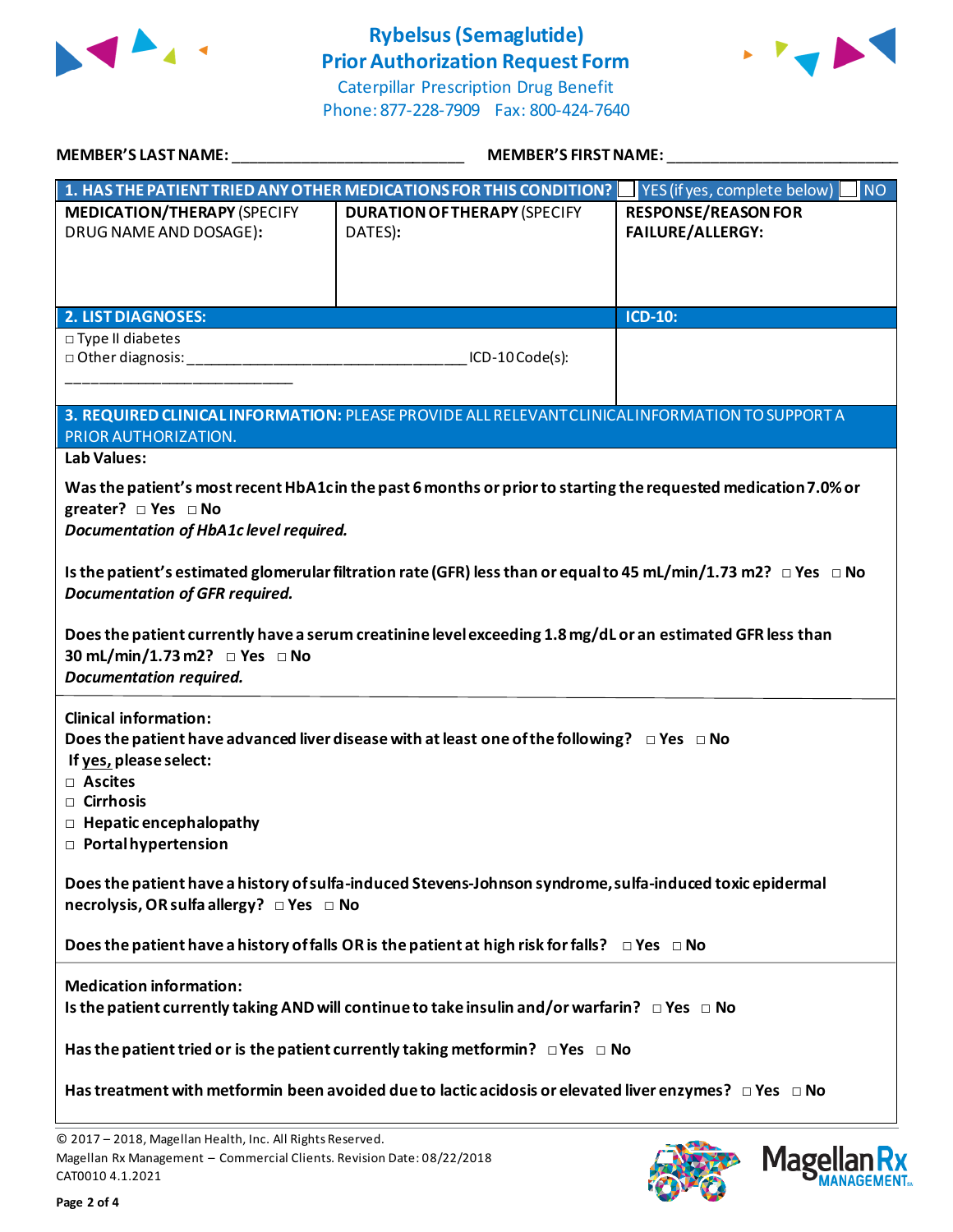

# **Rybelsus(Semaglutide) Prior Authorization Request Form**





| MEMBER'S LAST NAME: THE STATE OF THE STATE OF THE STATE OF THE STATE OF THE STATE OF THE STATE OF THE STATE OF                                    | <b>MEMBER'S FIRST NAME:</b>                                                                                               |                                                                                 |  |
|---------------------------------------------------------------------------------------------------------------------------------------------------|---------------------------------------------------------------------------------------------------------------------------|---------------------------------------------------------------------------------|--|
|                                                                                                                                                   | 1. HAS THE PATIENT TRIED ANY OTHER MEDICATIONS FOR THIS CONDITION?                                                        | $\blacksquare$ NO<br>$\blacksquare$ YES (if yes, complete below) $\blacksquare$ |  |
| <b>MEDICATION/THERAPY (SPECIFY</b><br>DRUG NAME AND DOSAGE):                                                                                      | <b>DURATION OF THERAPY (SPECIFY</b><br>DATES):                                                                            | <b>RESPONSE/REASON FOR</b><br><b>FAILURE/ALLERGY:</b>                           |  |
| <b>2. LIST DIAGNOSES:</b>                                                                                                                         |                                                                                                                           | ICD-10:                                                                         |  |
| □ Type II diabetes<br>D Other diagnosis: Department of the Contractor of the Contractor of the Contractor                                         | ICD-10 Code(s):                                                                                                           |                                                                                 |  |
|                                                                                                                                                   | 3. REQUIRED CLINICAL INFORMATION: PLEASE PROVIDE ALL RELEVANT CLINICAL INFORMATION TO SUPPORT A                           |                                                                                 |  |
| PRIOR AUTHORIZATION.<br><b>Lab Values:</b>                                                                                                        |                                                                                                                           |                                                                                 |  |
| greater? $\Box$ Yes $\Box$ No<br>Documentation of HbA1c level required.                                                                           | Was the patient's most recent HbA1cin the past 6 months or prior to starting the requested medication 7.0% or             |                                                                                 |  |
| <b>Documentation of GFR required.</b>                                                                                                             | Is the patient's estimated glomerular filtration rate (GFR) less than or equal to 45 mL/min/1.73 m2? $\Box$ Yes $\Box$ No |                                                                                 |  |
| 30 mL/min/1.73 m2? □ Yes □ No<br><b>Documentation required.</b>                                                                                   | Does the patient currently have a serum creatinine level exceeding 1.8 mg/dL or an estimated GFR less than                |                                                                                 |  |
| <b>Clinical information:</b><br>If yes, please select:<br>□ Ascites<br>□ Cirrhosis<br>$\Box$ Hepatic encephalopathy<br>$\Box$ Portal hypertension | Does the patient have advanced liver disease with at least one of the following? $\Box$ Yes $\Box$ No                     |                                                                                 |  |
| necrolysis, OR sulfa allergy? □ Yes □ No                                                                                                          | Does the patient have a history of sulfa-induced Stevens-Johnson syndrome, sulfa-induced toxic epidermal                  |                                                                                 |  |
|                                                                                                                                                   | Does the patient have a history of falls OR is the patient at high risk for falls? $\Box$ Yes $\Box$ No                   |                                                                                 |  |
| <b>Medication information:</b>                                                                                                                    | Is the patient currently taking AND will continue to take insulin and/or warfarin? $\Box$ Yes $\Box$ No                   |                                                                                 |  |
|                                                                                                                                                   | Has the patient tried or is the patient currently taking metformin? $\Box$ Yes $\Box$ No                                  |                                                                                 |  |
|                                                                                                                                                   | Has treatment with metformin been avoided due to lactic acidosis or elevated liver enzymes? $\Box$ Yes $\Box$ No          |                                                                                 |  |

© 2017 – 2018, Magellan Health, Inc. All Rights Reserved. Magellan Rx Management – Commercial Clients. Revision Date: 08/22/2018 CAT0010 4.1.2021



**Mage** 

Кx **ANAGEMENT**<sub>SM</sub>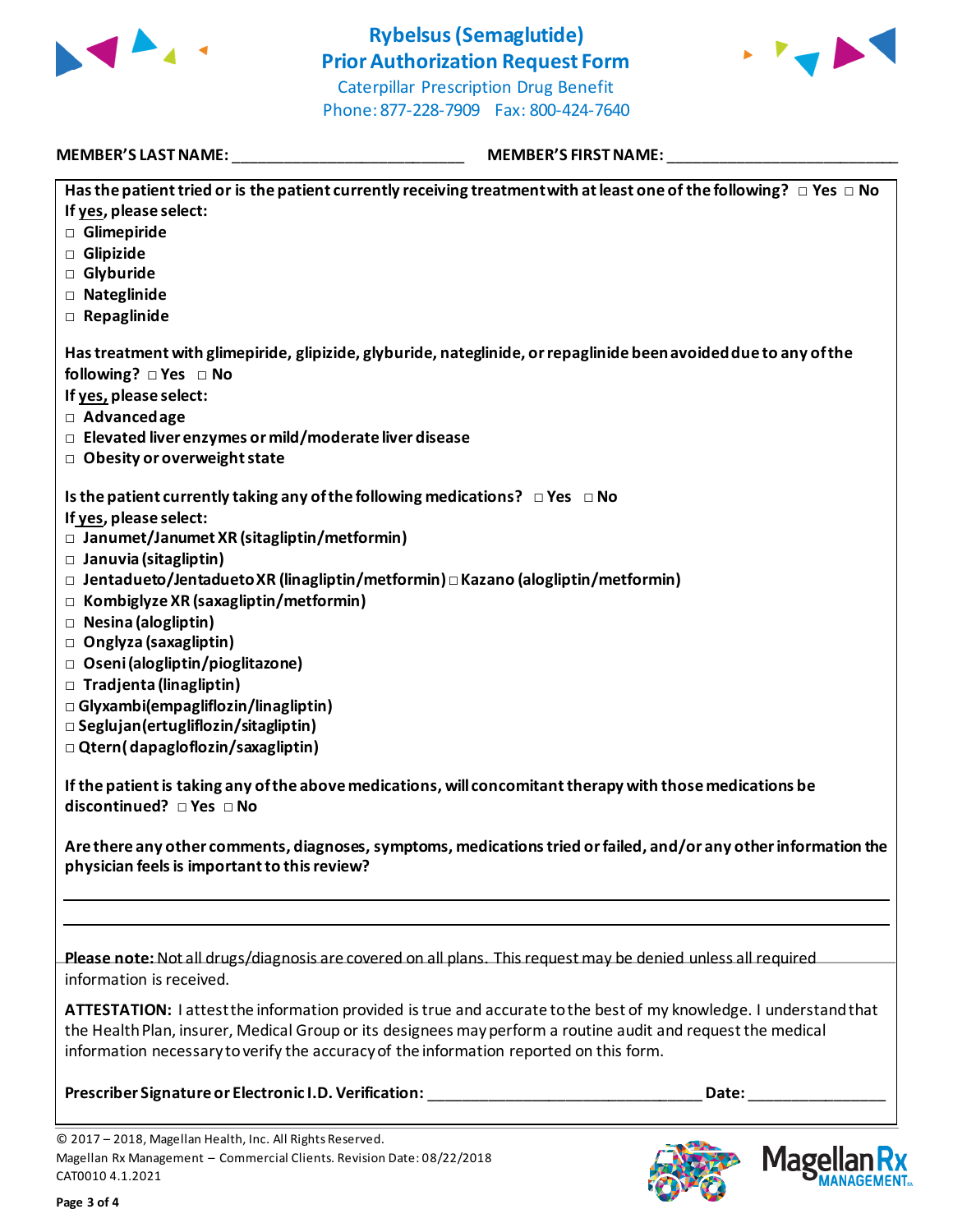

## **Rybelsus(Semaglutide) Prior Authorization Request Form** Caterpillar Prescription Drug Benefit



Phone: 877-228-7909 Fax: 800-424-7640

**MEMBER'S LAST NAME:** \_\_\_\_\_\_\_\_\_\_\_\_\_\_\_\_\_\_\_\_\_\_\_\_\_\_\_ **MEMBER'S FIRST NAME:** \_\_\_\_\_\_\_\_\_\_\_\_\_\_\_\_\_\_\_\_\_\_\_\_\_\_\_

| Has the patient tried or is the patient currently receiving treatment with at least one of the following? $\Box$ Yes $\Box$ No                                                                         |
|--------------------------------------------------------------------------------------------------------------------------------------------------------------------------------------------------------|
| If yes, please select:                                                                                                                                                                                 |
| Glimepiride                                                                                                                                                                                            |
| Glipizide                                                                                                                                                                                              |
| □ Glyburide                                                                                                                                                                                            |
| □ Nateglinide                                                                                                                                                                                          |
| $\Box$ Repaglinide                                                                                                                                                                                     |
| Has treatment with glimepiride, glipizide, glyburide, nateglinide, or repaglinide been avoided due to any of the                                                                                       |
|                                                                                                                                                                                                        |
| If yes, please select:                                                                                                                                                                                 |
| $\Box$ Advanced age                                                                                                                                                                                    |
| $\Box$ Elevated liver enzymes or mild/moderate liver disease                                                                                                                                           |
| $\Box$ Obesity or overweight state                                                                                                                                                                     |
|                                                                                                                                                                                                        |
| Is the patient currently taking any of the following medications? $\Box$ Yes $\Box$ No                                                                                                                 |
| If yes, please select:                                                                                                                                                                                 |
| $\Box$ Janumet/Janumet XR (sitagliptin/metformin)                                                                                                                                                      |
| $\Box$ Januvia (sitagliptin)                                                                                                                                                                           |
| □ Jentadueto/Jentadueto XR (linagliptin/metformin)□ Kazano (alogliptin/metformin)                                                                                                                      |
| $\Box$ Kombiglyze XR (saxagliptin/metformin)                                                                                                                                                           |
| □ Nesina (alogliptin)                                                                                                                                                                                  |
| □ Onglyza (saxagliptin)                                                                                                                                                                                |
| □ Oseni (alogliptin/pioglitazone)                                                                                                                                                                      |
| □ Tradjenta (linagliptin)                                                                                                                                                                              |
| $\Box$ Glyxambi(empagliflozin/linagliptin)                                                                                                                                                             |
| $\square$ Seglujan (ertugliflozin/sitagliptin)                                                                                                                                                         |
| $\Box$ Qtern(dapagloflozin/saxagliptin)                                                                                                                                                                |
| If the patient is taking any of the above medications, will concomitant therapy with those medications be<br>discontinued? □ Yes □ No                                                                  |
|                                                                                                                                                                                                        |
| Are there any other comments, diagnoses, symptoms, medications tried or failed, and/or any other information the<br>physician feels is important to this review?                                       |
|                                                                                                                                                                                                        |
|                                                                                                                                                                                                        |
|                                                                                                                                                                                                        |
| Please note: Not all drugs/diagnosis are covered on all plans. This request may be denied unless all required<br>information is received.                                                              |
| ATTESTATION: I attest the information provided is true and accurate to the best of my knowledge. I understand that                                                                                     |
| the Health Plan, insurer, Medical Group or its designees may perform a routine audit and request the medical<br>information necessary to verify the accuracy of the information reported on this form. |
|                                                                                                                                                                                                        |
| Prescriber Signature or Electronic I.D. Verification:<br>Date:                                                                                                                                         |

© 2017 – 2018, Magellan Health, Inc. All Rights Reserved. Magellan Rx Management – Commercial Clients. Revision Date: 08/22/2018 CAT0010 4.1.2021